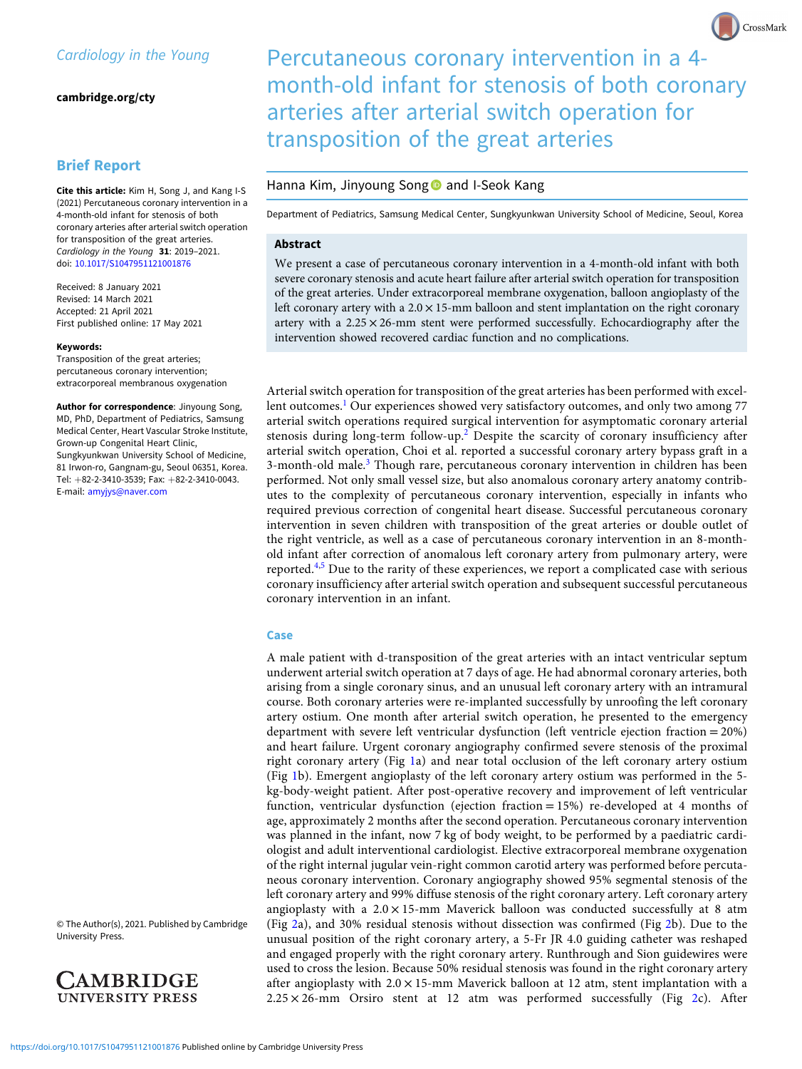[cambridge.org/cty](https://www.cambridge.org/cty)

# Brief Report

Cite this article: Kim H, Song J, and Kang I-S (2021) Percutaneous coronary intervention in a 4-month-old infant for stenosis of both coronary arteries after arterial switch operation for transposition of the great arteries. Cardiology in the Young 31: 2019-2021. doi: [10.1017/S1047951121001876](https://doi.org/10.1017/S1047951121001876)

Received: 8 January 2021 Revised: 14 March 2021 Accepted: 21 April 2021 First published online: 17 May 2021

#### Keywords:

Transposition of the great arteries; percutaneous coronary intervention; extracorporeal membranous oxygenation

Author for correspondence: Jinyoung Song, MD, PhD, Department of Pediatrics, Samsung Medical Center, Heart Vascular Stroke Institute, Grown-up Congenital Heart Clinic, Sungkyunkwan University School of Medicine, 81 Irwon-ro, Gangnam-gu, Seoul 06351, Korea. Tel: +82-2-3410-3539; Fax: +82-2-3410-0043. E-mail: [amyjys@naver.com](mailto:amyjys@naver.com)

© The Author(s), 2021. Published by Cambridge University Press.



Percutaneous coronary intervention in a 4 month-old infant for stenosis of both coronary arteries after arterial switch operation for transposition of the great arteries

CrossMark

## Hanna Kim, Jinyoung Song and I-Seok Kang

Department of Pediatrics, Samsung Medical Center, Sungkyunkwan University School of Medicine, Seoul, Korea

## Abstract

We present a case of percutaneous coronary intervention in a 4-month-old infant with both severe coronary stenosis and acute heart failure after arterial switch operation for transposition of the great arteries. Under extracorporeal membrane oxygenation, balloon angioplasty of the left coronary artery with a  $2.0 \times 15$ -mm balloon and stent implantation on the right coronary artery with a  $2.25 \times 26$ -mm stent were performed successfully. Echocardiography after the intervention showed recovered cardiac function and no complications.

Arterial switch operation for transposition of the great arteries has been performed with excel-lent outcomes.<sup>[1](#page-2-0)</sup> Our experiences showed very satisfactory outcomes, and only two among 77 arterial switch operations required surgical intervention for asymptomatic coronary arterial stenosis during long-term follow-up.<sup>[2](#page-2-0)</sup> Despite the scarcity of coronary insufficiency after arterial switch operation, Choi et al. reported a successful coronary artery bypass graft in a [3](#page-2-0)-month-old male.<sup>3</sup> Though rare, percutaneous coronary intervention in children has been performed. Not only small vessel size, but also anomalous coronary artery anatomy contributes to the complexity of percutaneous coronary intervention, especially in infants who required previous correction of congenital heart disease. Successful percutaneous coronary intervention in seven children with transposition of the great arteries or double outlet of the right ventricle, as well as a case of percutaneous coronary intervention in an 8-monthold infant after correction of anomalous left coronary artery from pulmonary artery, were reported. $4.5$  Due to the rarity of these experiences, we report a complicated case with serious coronary insufficiency after arterial switch operation and subsequent successful percutaneous coronary intervention in an infant.

### Case

A male patient with d-transposition of the great arteries with an intact ventricular septum underwent arterial switch operation at 7 days of age. He had abnormal coronary arteries, both arising from a single coronary sinus, and an unusual left coronary artery with an intramural course. Both coronary arteries were re-implanted successfully by unroofing the left coronary artery ostium. One month after arterial switch operation, he presented to the emergency department with severe left ventricular dysfunction (left ventricle ejection fraction = 20%) and heart failure. Urgent coronary angiography confirmed severe stenosis of the proximal right coronary artery (Fig [1a](#page-1-0)) and near total occlusion of the left coronary artery ostium (Fig [1](#page-1-0)b). Emergent angioplasty of the left coronary artery ostium was performed in the 5 kg-body-weight patient. After post-operative recovery and improvement of left ventricular function, ventricular dysfunction (ejection fraction = 15%) re-developed at 4 months of age, approximately 2 months after the second operation. Percutaneous coronary intervention was planned in the infant, now 7 kg of body weight, to be performed by a paediatric cardiologist and adult interventional cardiologist. Elective extracorporeal membrane oxygenation of the right internal jugular vein-right common carotid artery was performed before percutaneous coronary intervention. Coronary angiography showed 95% segmental stenosis of the left coronary artery and 99% diffuse stenosis of the right coronary artery. Left coronary artery angioplasty with a  $2.0 \times 15$ -mm Maverick balloon was conducted successfully at 8 atm (Fig [2](#page-1-0)a), and 30% residual stenosis without dissection was confirmed (Fig [2b](#page-1-0)). Due to the unusual position of the right coronary artery, a 5-Fr JR 4.0 guiding catheter was reshaped and engaged properly with the right coronary artery. Runthrough and Sion guidewires were used to cross the lesion. Because 50% residual stenosis was found in the right coronary artery after angioplasty with  $2.0 \times 15$ -mm Maverick balloon at 12 atm, stent implantation with a  $2.25 \times 26$  $2.25 \times 26$ -mm Orsiro stent at 12 atm was performed successfully (Fig 2c). After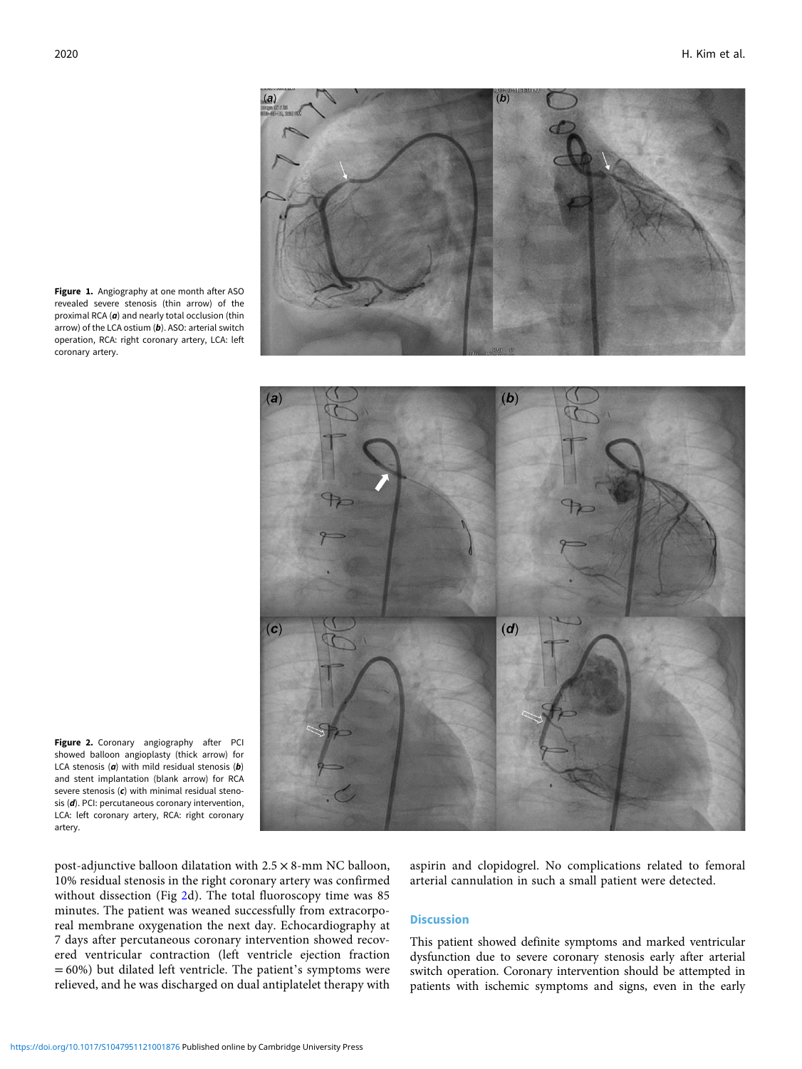<span id="page-1-0"></span>Figure 1. Angiography at one month after ASO revealed severe stenosis (thin arrow) of the proximal RCA  $(a)$  and nearly total occlusion (thin arrow) of the LCA ostium  $(b)$ . ASO: arterial switch operation, RCA: right coronary artery, LCA: left

Figure 2. Coronary angiography after PCI showed balloon angioplasty (thick arrow) for LCA stenosis ( $\boldsymbol{a}$ ) with mild residual stenosis ( $\boldsymbol{b}$ ) and stent implantation (blank arrow) for RCA severe stenosis  $(c)$  with minimal residual stenosis (d). PCI: percutaneous coronary intervention, LCA: left coronary artery, RCA: right coronary artery.

post-adjunctive balloon dilatation with 2.5 × 8-mm NC balloon, 10% residual stenosis in the right coronary artery was confirmed without dissection (Fig 2d). The total fluoroscopy time was 85 minutes. The patient was weaned successfully from extracorporeal membrane oxygenation the next day. Echocardiography at 7 days after percutaneous coronary intervention showed recovered ventricular contraction (left ventricle ejection fraction  $= 60\%$ ) but dilated left ventricle. The patient's symptoms were relieved, and he was discharged on dual antiplatelet therapy with

aspirin and clopidogrel. No complications related to femoral arterial cannulation in such a small patient were detected.

# Discussion

This patient showed definite symptoms and marked ventricular dysfunction due to severe coronary stenosis early after arterial switch operation. Coronary intervention should be attempted in patients with ischemic symptoms and signs, even in the early





coronary artery.